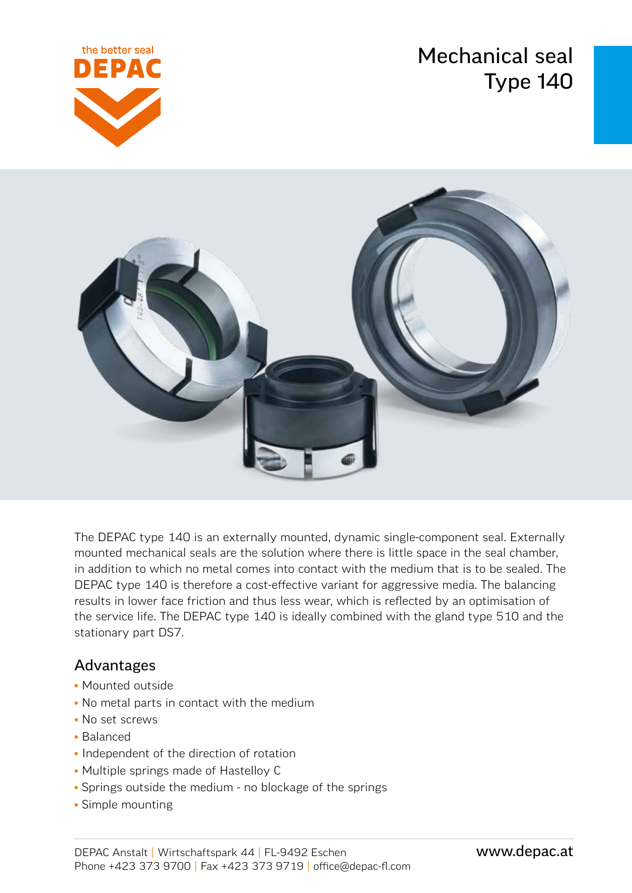Mechanical seal Type 140





The DEPAC type 140 is an externally mounted, dynamic single-component seal. Externally mounted mechanical seals are the solution where there is little space in the seal chamber, in addition to which no metal comes into contact with the medium that is to be sealed. The DEPAC type 140 is therefore a cost-effective variant for aggressive media. The balancing results in lower face friction and thus less wear, which is reflected by an optimisation of the service life. The DEPAC type 140 is ideally combined with the gland type 510 and the stationary part DS7.

### Advantages

- Mounted outside
- No metal parts in contact with the medium
- No set screws
- Balanced
- Independent of the direction of rotation
- Multiple springs made of Hastelloy C
- Springs outside the medium no blockage of the springs
- Simple mounting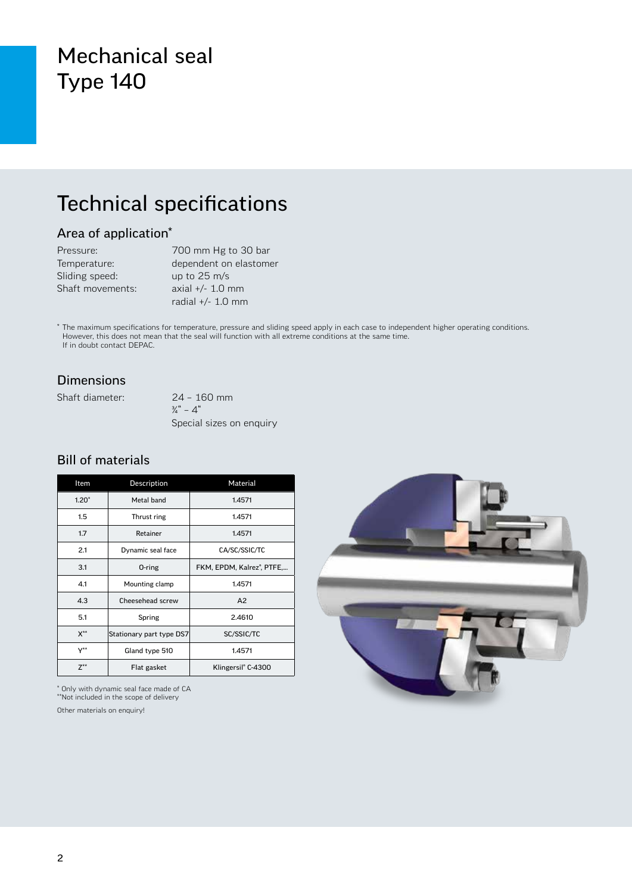## Mechanical seal Type 140

## Technical specifications

### Area of application\*

| Pressure:        | 700 mm Hg to 30 bar    |
|------------------|------------------------|
| Temperature:     | dependent on elastomer |
| Sliding speed:   | up to $25 \text{ m/s}$ |
| Shaft movements: | axial $+/- 1.0$ mm     |
|                  | radial $+/- 1.0$ mm    |

\* The maximum specifications for temperature, pressure and sliding speed apply in each case to independent higher operating conditions. However, this does not mean that the seal will function with all extreme conditions at the same time. If in doubt contact DEPAC.

### Dimensions

Shaft diameter: 24 – 160 mm

 $\frac{3}{4}$ " – 4" Special sizes on enquiry

#### Bill of materials

| Item                      | Description              | Material                               |  |  |
|---------------------------|--------------------------|----------------------------------------|--|--|
| $1.20*$                   | Metal band               | 1.4571                                 |  |  |
| 1.5                       | Thrust ring              | 1.4571                                 |  |  |
| 1.7                       | Retainer                 | 1.4571                                 |  |  |
| 2.1                       | Dynamic seal face        | CA/SC/SSIC/TC                          |  |  |
| 3.1                       | 0-ring                   | FKM, EPDM, Kalrez <sup>®</sup> , PTFE, |  |  |
| 4.1                       | Mounting clamp           | 1.4571                                 |  |  |
| 4.3                       | Cheesehead screw         | A2                                     |  |  |
| 5.1                       | Spring                   | 2.4610                                 |  |  |
| $X^{**}$                  | Stationary part type DS7 | SC/SSIC/TC                             |  |  |
| $\mathsf{Y}^{\star\star}$ | Gland type 510           | 1.4571                                 |  |  |
| $Z^{\ast\ast}$            | Flat gasket              | Klingersil <sup>®</sup> C-4300         |  |  |

\* Only with dynamic seal face made of CA

\*\*Not included in the scope of delivery

Other materials on enquiry!

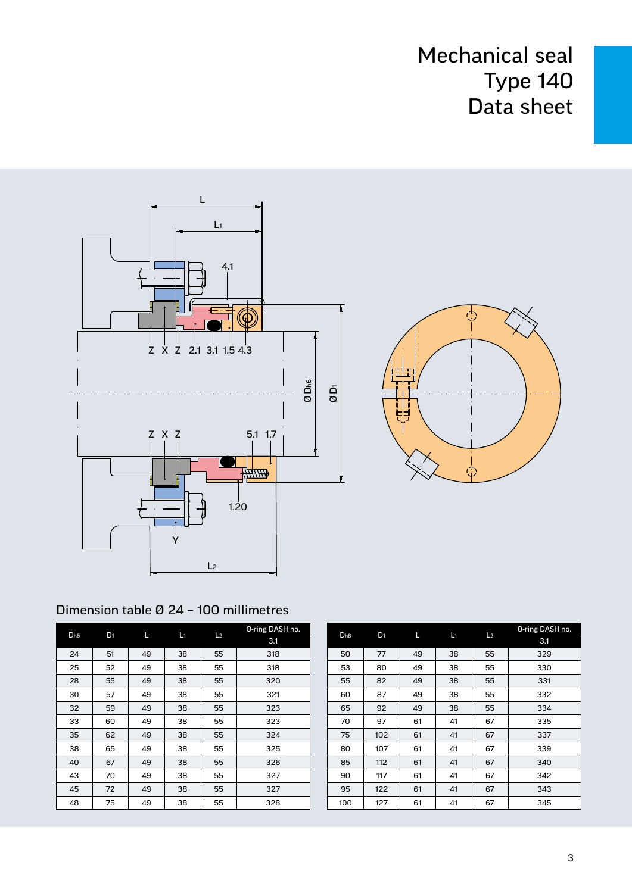



### Dimension table Ø 24 – 100 millimetres

| D <sub>h6</sub> | D <sub>1</sub> | Г  | L1 | L <sub>2</sub> | O-ring DASH no.<br>3.1 |
|-----------------|----------------|----|----|----------------|------------------------|
| 24              | 51             | 49 | 38 | 55             | 318                    |
| 25              | 52             | 49 | 38 | 55             | 318                    |
| 28              | 55             | 49 | 38 | 55             | 320                    |
| 30              | 57             | 49 | 38 | 55             | 321                    |
| 32              | 59             | 49 | 38 | 55             | 323                    |
| 33              | 60             | 49 | 38 | 55             | 323                    |
| 35              | 62             | 49 | 38 | 55             | 324                    |
| 38              | 65             | 49 | 38 | 55             | 325                    |
| 40              | 67             | 49 | 38 | 55             | 326                    |
| 43              | 70             | 49 | 38 | 55             | 327                    |
| 45              | 72             | 49 | 38 | 55             | 327                    |
| 48              | 75             | 49 | 38 | 55             | 328                    |

| D <sub>h6</sub> | D <sub>1</sub> | L  | L1 | L <sub>2</sub> | O-ring DASH no.<br>3.1 |
|-----------------|----------------|----|----|----------------|------------------------|
| 50              | 77             | 49 | 38 | 55             | 329                    |
| 53              | 80             | 49 | 38 | 55             | 330                    |
| 55              | 82             | 49 | 38 | 55             | 331                    |
| 60              | 87             | 49 | 38 | 55             | 332                    |
| 65              | 92             | 49 | 38 | 55             | 334                    |
| 70              | 97             | 61 | 41 | 67             | 335                    |
| 75              | 102            | 61 | 41 | 67             | 337                    |
| 80              | 107            | 61 | 41 | 67             | 339                    |
| 85              | 112            | 61 | 41 | 67             | 340                    |
| 90              | 117            | 61 | 41 | 67             | 342                    |
| 95              | 122            | 61 | 41 | 67             | 343                    |
| 100             | 127            | 61 | 41 | 67             | 345                    |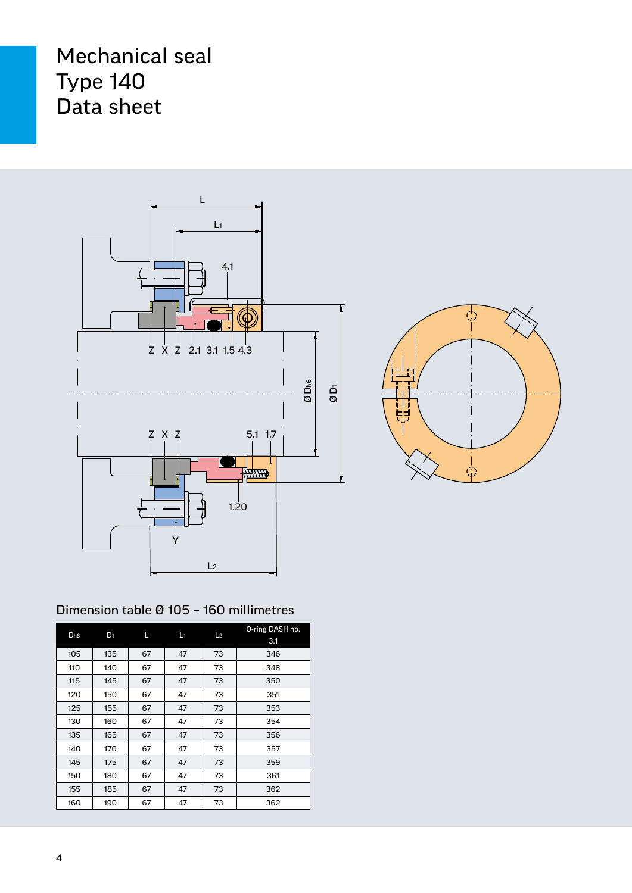



### Dimension table Ø 105 – 160 millimetres

| D <sub>h6</sub> | D <sub>1</sub> | Г  | L1 | L <sub>2</sub> | O-ring DASH no.<br>3.1 |
|-----------------|----------------|----|----|----------------|------------------------|
| 105             | 135            | 67 | 47 | 73             | 346                    |
| 110             | 140            | 67 | 47 | 73             | 348                    |
| 115             | 145            | 67 | 47 | 73             | 350                    |
| 120             | 150            | 67 | 47 | 73             | 351                    |
| 125             | 155            | 67 | 47 | 73             | 353                    |
| 130             | 160            | 67 | 47 | 73             | 354                    |
| 135             | 165            | 67 | 47 | 73             | 356                    |
| 140             | 170            | 67 | 47 | 73             | 357                    |
| 145             | 175            | 67 | 47 | 73             | 359                    |
| 150             | 180            | 67 | 47 | 73             | 361                    |
| 155             | 185            | 67 | 47 | 73             | 362                    |
| 160             | 190            | 67 | 47 | 73             | 362                    |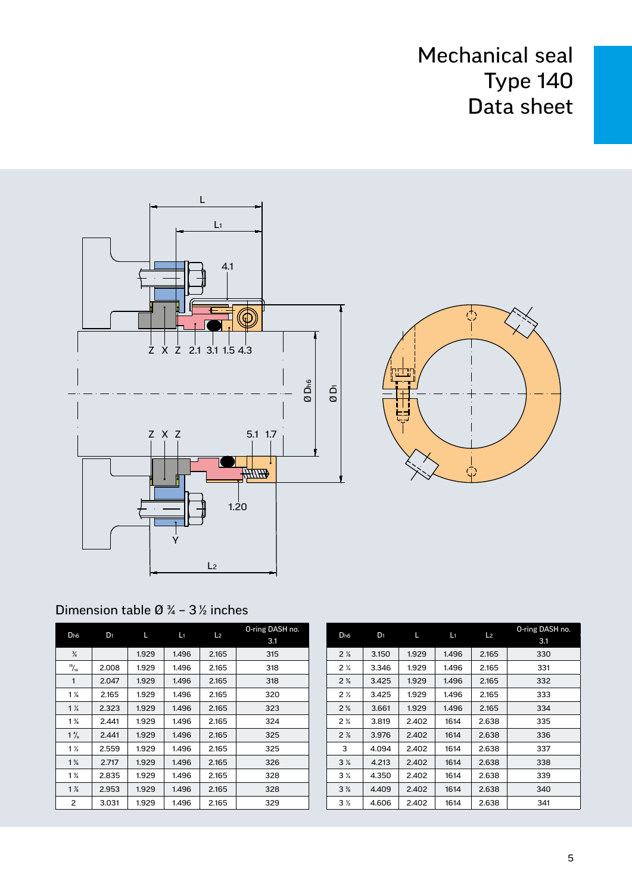



### Dimension table  $\varnothing$   $\frac{3}{4}$  – 3 $\frac{1}{2}$  inches

| D <sub>h6</sub><br>$D_1$ | г     | L١    | L <sub>2</sub> | O-ring DASH no. |     |
|--------------------------|-------|-------|----------------|-----------------|-----|
|                          |       |       |                |                 | 3.1 |
| $\frac{3}{4}$            |       | 1.929 | 1.496          | 2.165           | 315 |
| $\frac{15}{16}$          | 2.008 | 1.929 | 1.496          | 2.165           | 318 |
| 1                        | 2.047 | 1.929 | 1.496          | 2.165           | 318 |
| $1\%$                    | 2.165 | 1.929 | 1.496          | 2.165           | 320 |
| $1\frac{1}{4}$           | 2.323 | 1.929 | 1.496          | 2.165           | 323 |
| $1\frac{3}{8}$           | 2.441 | 1.929 | 1.496          | 2.165           | 324 |
| $1\frac{4}{9}$           | 2.441 | 1.929 | 1.496          | 2.165           | 325 |
| $1\frac{1}{2}$           | 2.559 | 1.929 | 1.496          | 2.165           | 325 |
| $1\frac{5}{8}$           | 2.717 | 1.929 | 1.496          | 2.165           | 326 |
| $1\frac{3}{4}$           | 2.835 | 1.929 | 1.496          | 2.165           | 328 |
| $1\%$                    | 2.953 | 1.929 | 1.496          | 2.165           | 328 |
| 2                        | 3.031 | 1.929 | 1.496          | 2.165           | 329 |

| D <sub>h6</sub> | D <sub>1</sub> | Г     | L1    | L <sub>2</sub> | O-ring DASH no.<br>3.1 |
|-----------------|----------------|-------|-------|----------------|------------------------|
| 2 <sub>8</sub>  | 3.150          | 1.929 | 1.496 | 2.165          | 330                    |
| 2 <sub>4</sub>  | 3.346          | 1.929 | 1.496 | 2.165          | 331                    |
| $2\frac{3}{8}$  | 3.425          | 1.929 | 1.496 | 2.165          | 332                    |
| 2 <sub>2</sub>  | 3.425          | 1.929 | 1.496 | 2.165          | 333                    |
| $2\frac{5}{6}$  | 3.661          | 1.929 | 1.496 | 2.165          | 334                    |
| $2\frac{3}{4}$  | 3.819          | 2.402 | 1614  | 2.638          | 335                    |
| $2\frac{7}{8}$  | 3.976          | 2.402 | 1614  | 2.638          | 336                    |
| 3               | 4.094          | 2.402 | 1614  | 2.638          | 337                    |
| 3 <sub>k</sub>  | 4.213          | 2.402 | 1614  | 2.638          | 338                    |
| $3\frac{1}{4}$  | 4.350          | 2.402 | 1614  | 2.638          | 339                    |
| 3%              | 4.409          | 2.402 | 1614  | 2.638          | 340                    |
| 3 <sub>2</sub>  | 4.606          | 2.402 | 1614  | 2.638          | 341                    |